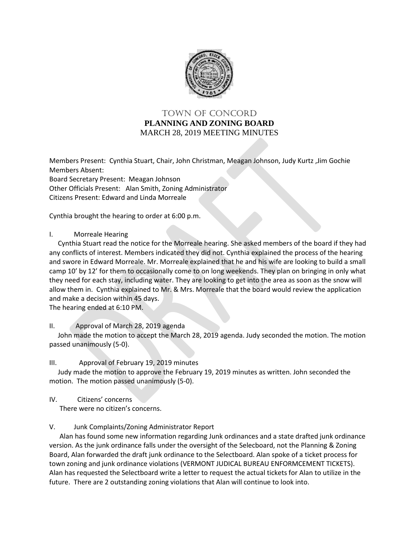

## TOWN OF Concord **PLANNING AND ZONING BOARD** MARCH 28, 2019 MEETING MINUTES

Members Present: Cynthia Stuart, Chair, John Christman, Meagan Johnson, Judy Kurtz ,Jim Gochie Members Absent: Board Secretary Present: Meagan Johnson Other Officials Present: Alan Smith, Zoning Administrator Citizens Present: Edward and Linda Morreale

Cynthia brought the hearing to order at 6:00 p.m.

I. Morreale Hearing

 Cynthia Stuart read the notice for the Morreale hearing. She asked members of the board if they had any conflicts of interest. Members indicated they did not. Cynthia explained the process of the hearing and swore in Edward Morreale. Mr. Morreale explained that he and his wife are looking to build a small camp 10' by 12' for them to occasionally come to on long weekends. They plan on bringing in only what they need for each stay, including water. They are looking to get into the area as soon as the snow will allow them in. Cynthia explained to Mr. & Mrs. Morreale that the board would review the application and make a decision within 45 days.

The hearing ended at 6:10 PM.

II. Approval of March 28, 2019 agenda

 John made the motion to accept the March 28, 2019 agenda. Judy seconded the motion. The motion passed unanimously (5-0).

III. Approval of February 19, 2019 minutes

 Judy made the motion to approve the February 19, 2019 minutes as written. John seconded the motion. The motion passed unanimously (5-0).

IV. Citizens' concerns

There were no citizen's concerns.

V. Junk Complaints/Zoning Administrator Report

 Alan has found some new information regarding Junk ordinances and a state drafted junk ordinance version. As the junk ordinance falls under the oversight of the Selecboard, not the Planning & Zoning Board, Alan forwarded the draft junk ordinance to the Selectboard. Alan spoke of a ticket process for town zoning and junk ordinance violations (VERMONT JUDICAL BUREAU ENFORMCEMENT TICKETS). Alan has requested the Selectboard write a letter to request the actual tickets for Alan to utilize in the future. There are 2 outstanding zoning violations that Alan will continue to look into.